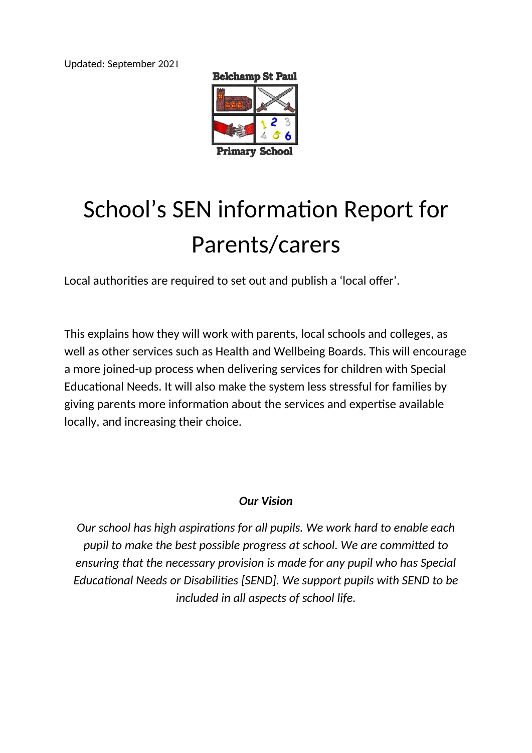Updated: September 2021



# School's SEN information Report for Parents/carers

Local authorities are required to set out and publish a 'local offer'.

This explains how they will work with parents, local schools and colleges, as well as other services such as Health and Wellbeing Boards. This will encourage a more joined-up process when delivering services for children with Special Educational Needs. It will also make the system less stressful for families by giving parents more information about the services and expertise available locally, and increasing their choice.

#### *Our Vision*

*Our school has high aspirations for all pupils. We work hard to enable each pupil to make the best possible progress at school. We are committed to ensuring that the necessary provision is made for any pupil who has Special Educational Needs or Disabilities [SEND]. We support pupils with SEND to be included in all aspects of school life.*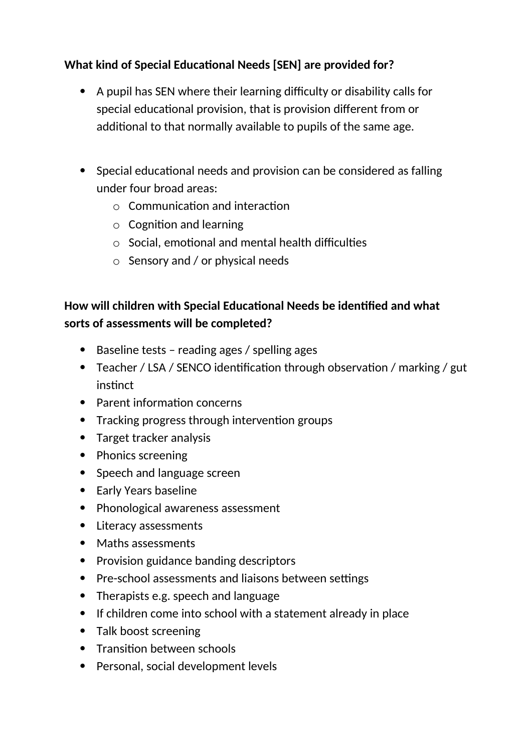## **What kind of Special Educational Needs [SEN] are provided for?**

- A pupil has SEN where their learning difficulty or disability calls for special educational provision, that is provision different from or additional to that normally available to pupils of the same age.
- Special educational needs and provision can be considered as falling under four broad areas:
	- $\circ$  Communication and interaction
	- o Cognition and learning
	- $\circ$  Social, emotional and mental health difficulties
	- o Sensory and / or physical needs

# **How will children with Special Educational Needs be identified and what sorts of assessments will be completed?**

- Baseline tests reading ages / spelling ages
- Teacher / LSA / SENCO identification through observation / marking / gut instinct
- Parent information concerns
- Tracking progress through intervention groups
- Target tracker analysis
- Phonics screening
- Speech and language screen
- Early Years baseline
- Phonological awareness assessment
- Literacy assessments
- Maths assessments
- Provision guidance banding descriptors
- Pre-school assessments and liaisons between settings
- Therapists e.g. speech and language
- If children come into school with a statement already in place
- Talk boost screening
- Transition between schools
- Personal, social development levels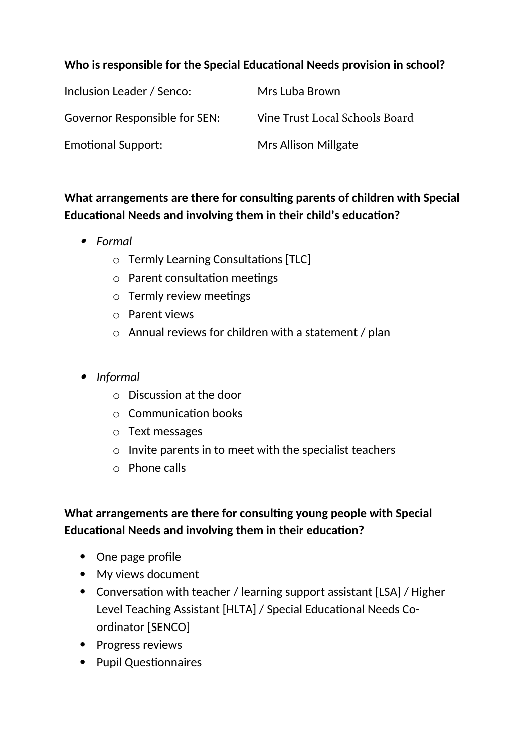#### **Who is responsible for the Special Educational Needs provision in school?**

| Inclusion Leader / Senco:            | Mrs Luba Brown                 |
|--------------------------------------|--------------------------------|
| <b>Governor Responsible for SEN:</b> | Vine Trust Local Schools Board |
| <b>Emotional Support:</b>            | <b>Mrs Allison Millgate</b>    |

# **What arrangements are there for consulting parents of children with Special Educational Needs and involving them in their child's education?**

- *Formal*
	- o Termly Learning Consultations [TLC]
	- o Parent consultation meetings
	- o Termly review meetings
	- o Parent views
	- o Annual reviews for children with a statement / plan
- *Informal*
	- o Discussion at the door
	- o Communication books
	- o Text messages
	- $\circ$  Invite parents in to meet with the specialist teachers
	- o Phone calls

# **What arrangements are there for consulting young people with Special Educational Needs and involving them in their education?**

- One page profile
- My views document
- Conversation with teacher / learning support assistant [LSA] / Higher Level Teaching Assistant [HLTA] / Special Educational Needs Coordinator [SENCO]
- Progress reviews
- Pupil Questionnaires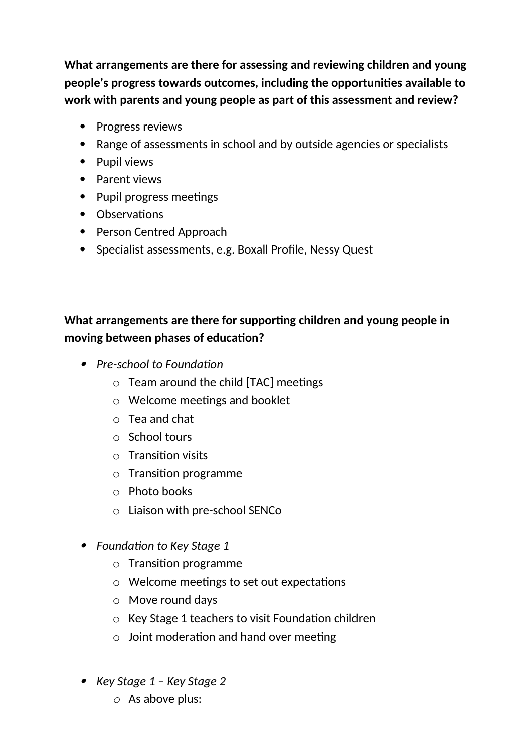**What arrangements are there for assessing and reviewing children and young people's progress towards outcomes, including the opportunities available to work with parents and young people as part of this assessment and review?** 

- Progress reviews
- Range of assessments in school and by outside agencies or specialists
- Pupil views
- Parent views
- Pupil progress meetings
- Observations
- Person Centred Approach
- Specialist assessments, e.g. Boxall Profile, Nessy Quest

# **What arrangements are there for supporting children and young people in moving between phases of education?**

- *Pre-school to Foundation*
	- o Team around the child [TAC] meetings
	- o Welcome meetings and booklet
	- o Tea and chat
	- o School tours
	- o Transition visits
	- o Transition programme
	- o Photo books
	- o Liaison with pre-school SENCo
- *Foundation to Key Stage 1*
	- o Transition programme
	- o Welcome meetings to set out expectations
	- o Move round days
	- o Key Stage 1 teachers to visit Foundation children
	- $\circ$  Joint moderation and hand over meeting
- *Key Stage 1 Key Stage 2*
	- *o* As above plus: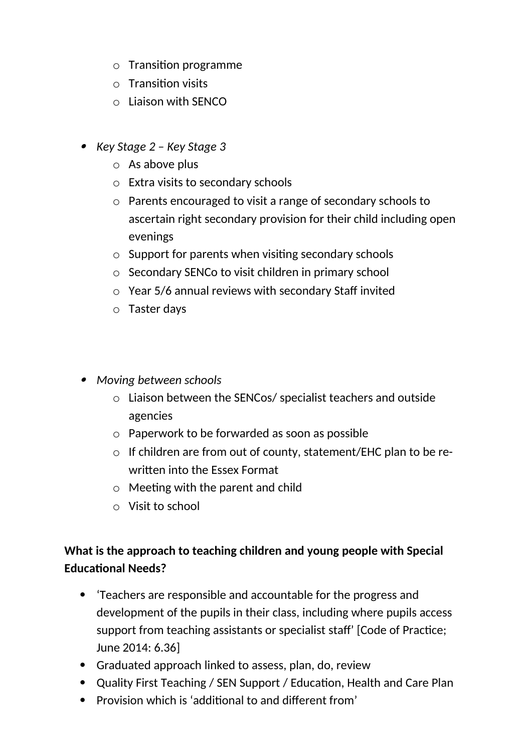- o Transition programme
- o Transition visits
- o Liaison with SENCO
- *Key Stage 2 Key Stage 3*
	- o As above plus
	- o Extra visits to secondary schools
	- o Parents encouraged to visit a range of secondary schools to ascertain right secondary provision for their child including open evenings
	- o Support for parents when visiting secondary schools
	- o Secondary SENCo to visit children in primary school
	- o Year 5/6 annual reviews with secondary Staff invited
	- o Taster days
- *Moving between schools*
	- o Liaison between the SENCos/ specialist teachers and outside agencies
	- o Paperwork to be forwarded as soon as possible
	- o If children are from out of county, statement/EHC plan to be rewritten into the Essex Format
	- o Meeting with the parent and child
	- o Visit to school

## **What is the approach to teaching children and young people with Special Educational Needs?**

- 'Teachers are responsible and accountable for the progress and development of the pupils in their class, including where pupils access support from teaching assistants or specialist staff' [Code of Practice; June 2014: 6.36]
- Graduated approach linked to assess, plan, do, review
- Quality First Teaching / SEN Support / Education, Health and Care Plan
- Provision which is 'additional to and different from'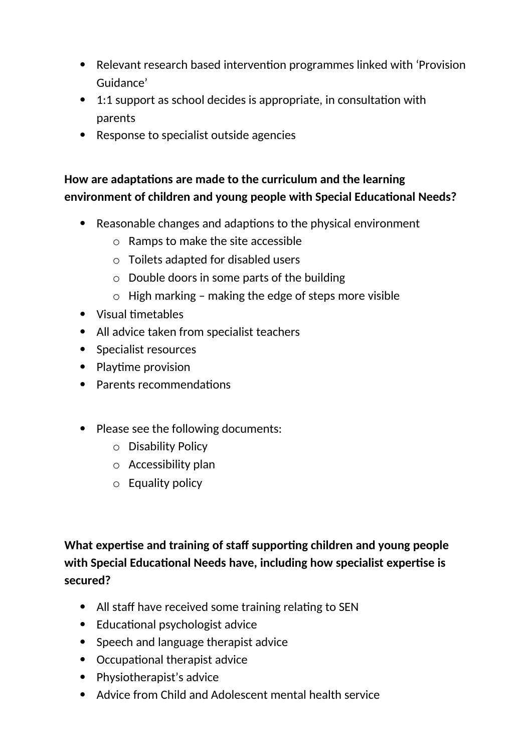- Relevant research based intervention programmes linked with 'Provision Guidance'
- 1:1 support as school decides is appropriate, in consultation with parents
- Response to specialist outside agencies

#### **How are adaptations are made to the curriculum and the learning environment of children and young people with Special Educational Needs?**

- Reasonable changes and adaptions to the physical environment
	- o Ramps to make the site accessible
	- o Toilets adapted for disabled users
	- $\circ$  Double doors in some parts of the building
	- $\circ$  High marking making the edge of steps more visible
- Visual timetables
- All advice taken from specialist teachers
- Specialist resources
- Playtime provision
- Parents recommendations
- Please see the following documents:
	- o Disability Policy
	- o Accessibility plan
	- o Equality policy

**What expertise and training of staff supporting children and young people with Special Educational Needs have, including how specialist expertise is secured?**

- All staff have received some training relating to SEN
- Educational psychologist advice
- Speech and language therapist advice
- Occupational therapist advice
- Physiotherapist's advice
- Advice from Child and Adolescent mental health service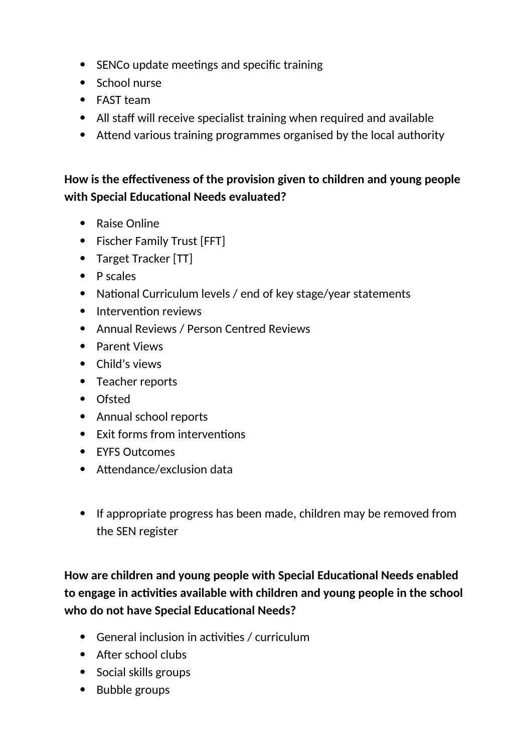- SENCo update meetings and specific training
- School nurse
- FAST team
- All staff will receive specialist training when required and available
- Attend various training programmes organised by the local authority

## **How is the effectiveness of the provision given to children and young people with Special Educational Needs evaluated?**

- Raise Online
- Fischer Family Trust [FFT]
- Target Tracker [TT]
- $\bullet$  P scales
- National Curriculum levels / end of key stage/year statements
- Intervention reviews
- Annual Reviews / Person Centred Reviews
- Parent Views
- Child's views
- Teacher reports
- Ofsted
- Annual school reports
- Exit forms from interventions
- **EYES Outcomes**
- Attendance/exclusion data
- If appropriate progress has been made, children may be removed from the SEN register

**How are children and young people with Special Educational Needs enabled to engage in activities available with children and young people in the school who do not have Special Educational Needs?**

- General inclusion in activities / curriculum
- After school clubs
- Social skills groups
- Bubble groups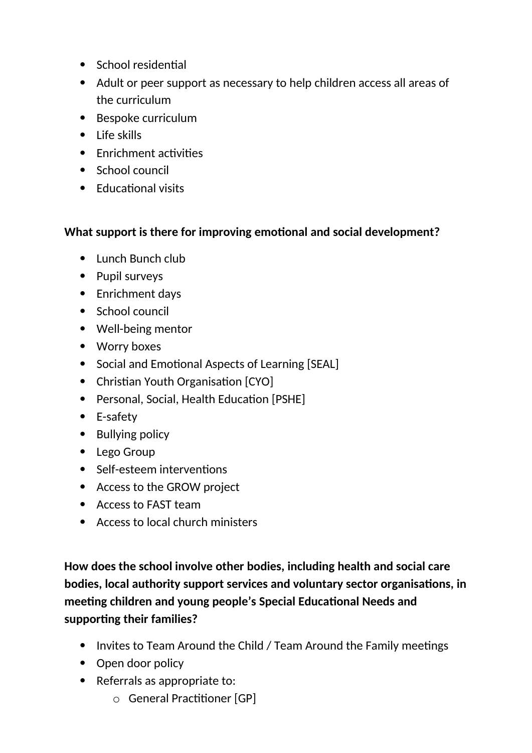- School residential
- Adult or peer support as necessary to help children access all areas of the curriculum
- Bespoke curriculum
- $\bullet$  Life skills
- Fnrichment activities
- School council
- Educational visits

#### **What support is there for improving emotional and social development?**

- Lunch Bunch club
- Pupil surveys
- Enrichment days
- School council
- Well-being mentor
- Worry boxes
- Social and Emotional Aspects of Learning [SEAL]
- Christian Youth Organisation [CYO]
- Personal, Social, Health Education [PSHE]
- E-safety
- Bullying policy
- Lego Group
- Self-esteem interventions
- Access to the GROW project
- Access to FAST team
- Access to local church ministers

**How does the school involve other bodies, including health and social care bodies, local authority support services and voluntary sector organisations, in meeting children and young people's Special Educational Needs and supporting their families?**

- Invites to Team Around the Child / Team Around the Family meetings
- Open door policy
- Referrals as appropriate to:
	- o General Practitioner [GP]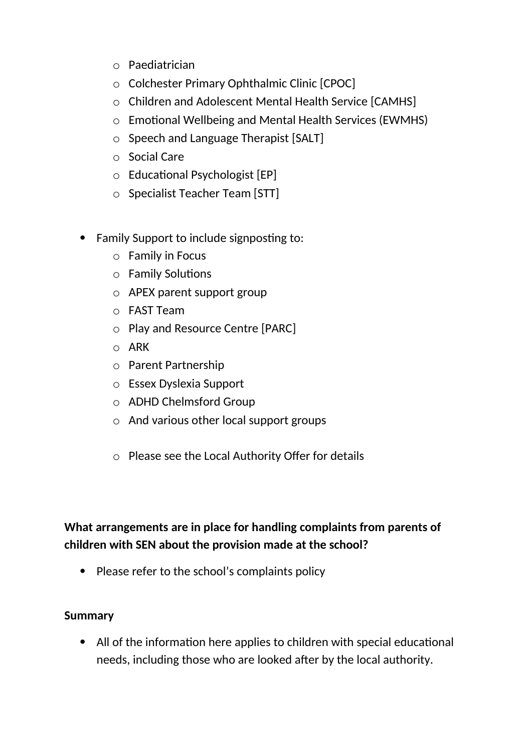- o Paediatrician
- o Colchester Primary Ophthalmic Clinic [CPOC]
- o Children and Adolescent Mental Health Service [CAMHS]
- o Emotional Wellbeing and Mental Health Services (EWMHS)
- o Speech and Language Therapist [SALT]
- o Social Care
- o Educational Psychologist [EP]
- o Specialist Teacher Team [STT]
- Family Support to include signposting to:
	- o Family in Focus
	- o Family Solutions
	- o APEX parent support group
	- o FAST Team
	- o Play and Resource Centre [PARC]
	- o ARK
	- o Parent Partnership
	- o Essex Dyslexia Support
	- o ADHD Chelmsford Group
	- o And various other local support groups
	- o Please see the Local Authority Offer for details

# **What arrangements are in place for handling complaints from parents of children with SEN about the provision made at the school?**

• Please refer to the school's complaints policy

#### **Summary**

 All of the information here applies to children with special educational needs, including those who are looked after by the local authority.